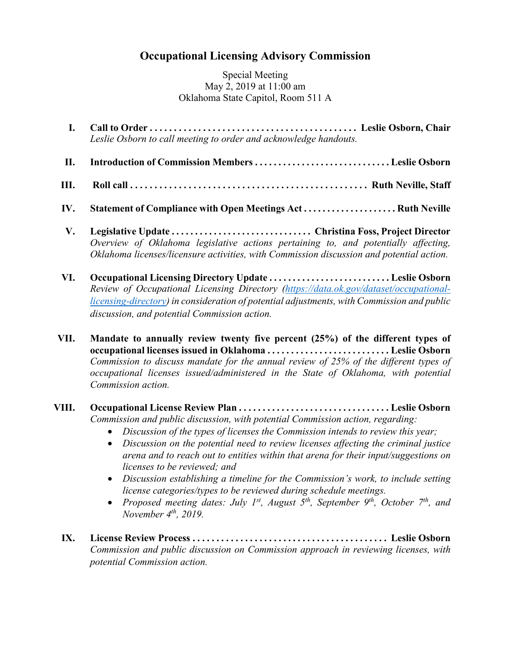## **Occupational Licensing Advisory Commission**

Special Meeting May 2, 2019 at 11:00 am Oklahoma State Capitol, Room 511 A

- **I. Call to Order . . . . . . . . . . . . . . . . . . . . . . . . . . . . . . . . . . . . . . . . . . . Leslie Osborn, Chair**  *Leslie Osborn to call meeting to order and acknowledge handouts.*
- **II. Introduction of Commission Members . . . . . . . . . . . . . . . . . . . . . . . . . . . . . Leslie Osborn**
- **III. Roll call . . . . . . . . . . . . . . . . . . . . . . . . . . . . . . . . . . . . . . . . . . . . . . . . . Ruth Neville, Staff**
- **IV. Statement of Compliance with Open Meetings Act . . . . . . . . . . . . . . . . . . . . Ruth Neville**
- **V. Legislative Update . . . . . . . . . . . . . . . . . . . . . . . . . . . . . . Christina Foss, Project Director**  *Overview of Oklahoma legislative actions pertaining to, and potentially affecting, Oklahoma licenses/licensure activities, with Commission discussion and potential action.*
- **VI. Occupational Licensing Directory Update . . . . . . . . . . . . . . . . . . . . . . . . . . Leslie Osborn** *Review of Occupational Licensing Directory [\(https://data.ok.gov/dataset/occupational](https://data.ok.gov/dataset/occupational-licensing-directory)[licensing-directory\)](https://data.ok.gov/dataset/occupational-licensing-directory) in consideration of potential adjustments, with Commission and public discussion, and potential Commission action.*
- **VII. Mandate to annually review twenty five percent (25%) of the different types of occupational licenses issued in Oklahoma . . . . . . . . . . . . . . . . . . . . . . . . . . Leslie Osborn** *Commission to discuss mandate for the annual review of 25% of the different types of occupational licenses issued/administered in the State of Oklahoma, with potential Commission action.*
- **VIII. Occupational License Review Plan . . . . . . . . . . . . . . . . . . . . . . . . . . . . . . . . Leslie Osborn** *Commission and public discussion, with potential Commission action, regarding:*
	- *Discussion of the types of licenses the Commission intends to review this year;*
	- *Discussion on the potential need to review licenses affecting the criminal justice arena and to reach out to entities within that arena for their input/suggestions on licenses to be reviewed; and*
	- *Discussion establishing a timeline for the Commission's work, to include setting license categories/types to be reviewed during schedule meetings.*
	- *Proposed meeting dates: July 1<sup>st</sup>, August 5<sup>th</sup>, September 9<sup>th</sup>, October 7<sup>th</sup>, and November 4th, 2019.*
	- **IX. License Review Process . . . . . . . . . . . . . . . . . . . . . . . . . . . . . . . . . . . . . . . . . Leslie Osborn** *Commission and public discussion on Commission approach in reviewing licenses, with potential Commission action.*